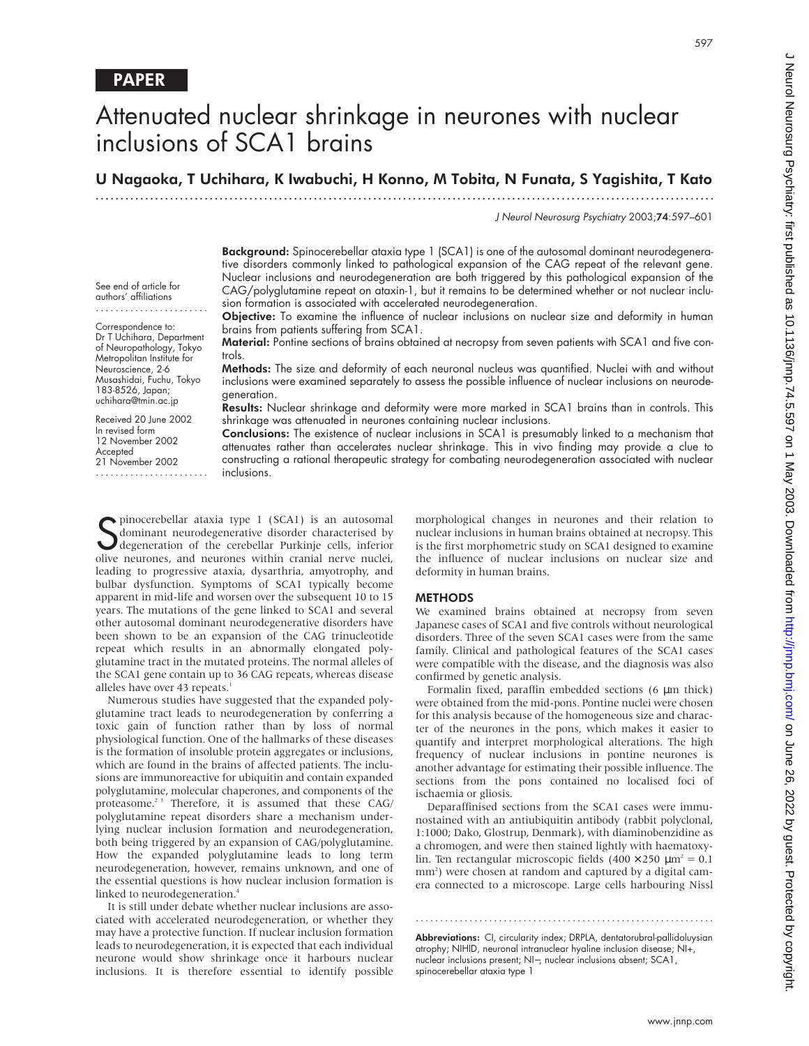# Attenuated nuclear shrinkage in neurones with nuclear inclusions of SCA1 brains

U Nagaoka, T Uchihara, K Iwabuchi, H Konno, M Tobita, N Funata, S Yagishita, T Kato

.............................................................................................................................

J Neurol Neurosurg Psychiatry 2003;74:597–601

**Background:** Spinocerebellar ataxia type 1 (SCA1) is one of the autosomal dominant neurodegenerative disorders commonly linked to pathological expansion of the CAG repeat of the relevant gene. Nuclear inclusions and neurodegeneration are both triggered by this pathological expansion of the CAG/polyglutamine repeat on ataxin-1, but it remains to be determined whether or not nuclear inclusion formation is associated with accelerated neurodegeneration.

Objective: To examine the influence of nuclear inclusions on nuclear size and deformity in human brains from patients suffering from SCA1.

Material: Pontine sections of brains obtained at necropsy from seven patients with SCA1 and five controls.

Methods: The size and deformity of each neuronal nucleus was quantified. Nuclei with and without inclusions were examined separately to assess the possible influence of nuclear inclusions on neurodegeneration.

Results: Nuclear shrinkage and deformity were more marked in SCA1 brains than in controls. This shrinkage was attenuated in neurones containing nuclear inclusions.

Conclusions: The existence of nuclear inclusions in SCA1 is presumably linked to a mechanism that attenuates rather than accelerates nuclear shrinkage. This in vivo finding may provide a clue to constructing a rational therapeutic strategy for combating neurodegeneration associated with nuclear inclusions.

Superinocerebellar ataxia type 1 (SCA1) is an autosomal<br>dominant neurodegenerative disorder characterised by<br>degeneration of the cerebellar Purkinje cells, inferior<br>olive neurones and neurones within cranial nerve nuclei dominant neurodegenerative disorder characterised by degeneration of the cerebellar Purkinje cells, inferior olive neurones, and neurones within cranial nerve nuclei, leading to progressive ataxia, dysarthria, amyotrophy, and bulbar dysfunction. Symptoms of SCA1 typically become apparent in mid-life and worsen over the subsequent 10 to 15 years. The mutations of the gene linked to SCA1 and several other autosomal dominant neurodegenerative disorders have been shown to be an expansion of the CAG trinucleotide repeat which results in an abnormally elongated polyglutamine tract in the mutated proteins. The normal alleles of the SCA1 gene contain up to 36 CAG repeats, whereas disease alleles have over 43 repeats.<sup>1</sup>

Numerous studies have suggested that the expanded polyglutamine tract leads to neurodegeneration by conferring a toxic gain of function rather than by loss of normal physiological function. One of the hallmarks of these diseases is the formation of insoluble protein aggregates or inclusions, which are found in the brains of affected patients. The inclusions are immunoreactive for ubiquitin and contain expanded polyglutamine, molecular chaperones, and components of the proteasome.<sup>23</sup> Therefore, it is assumed that these CAG/ polyglutamine repeat disorders share a mechanism underlying nuclear inclusion formation and neurodegeneration, both being triggered by an expansion of CAG/polyglutamine. How the expanded polyglutamine leads to long term neurodegeneration, however, remains unknown, and one of the essential questions is how nuclear inclusion formation is linked to neurodegeneration.<sup>4</sup>

It is still under debate whether nuclear inclusions are associated with accelerated neurodegeneration, or whether they may have a protective function. If nuclear inclusion formation leads to neurodegeneration, it is expected that each individual neurone would show shrinkage once it harbours nuclear inclusions. It is therefore essential to identify possible

morphological changes in neurones and their relation to nuclear inclusions in human brains obtained at necropsy. This is the first morphometric study on SCA1 designed to examine the influence of nuclear inclusions on nuclear size and deformity in human brains.

#### **METHODS**

We examined brains obtained at necropsy from seven Japanese cases of SCA1 and five controls without neurological disorders. Three of the seven SCA1 cases were from the same family. Clinical and pathological features of the SCA1 cases were compatible with the disease, and the diagnosis was also confirmed by genetic analysis.

Formalin fixed, paraffin embedded sections (6 µm thick) were obtained from the mid-pons. Pontine nuclei were chosen for this analysis because of the homogeneous size and character of the neurones in the pons, which makes it easier to quantify and interpret morphological alterations. The high frequency of nuclear inclusions in pontine neurones is another advantage for estimating their possible influence. The sections from the pons contained no localised foci of ischaemia or gliosis.

Deparaffinised sections from the SCA1 cases were immunostained with an antiubiquitin antibody (rabbit polyclonal, 1:1000; Dako, Glostrup, Denmark), with diaminobenzidine as a chromogen, and were then stained lightly with haematoxylin. Ten rectangular microscopic fields  $(400 \times 250 \mu m^2 = 0.1$ mm<sup>2</sup>) were chosen at random and captured by a digital camera connected to a microscope. Large cells harbouring Nissl

Abbreviations: CI, circularity index; DRPLA, dentatorubral-pallidoluysian atrophy; NIHID, neuronal intranuclear hyaline inclusion disease; NI+, nuclear inclusions present; NI−, nuclear inclusions absent; SCA1, spinocerebellar ataxia type 1

.............................................................

See end of article for authors' affiliations .......................

Correspondence to: Dr T Uchihara, Department of Neuropathology, Tokyo Metropolitan Institute for Neuroscience, 2-6 Musashidai, Fuchu, Tokyo 183-8526, Japan; uchihara@tmin.ac.jp

Received 20 June 2002 In revised form 12 November 2002 **Accepted** 21 November 2002 .......................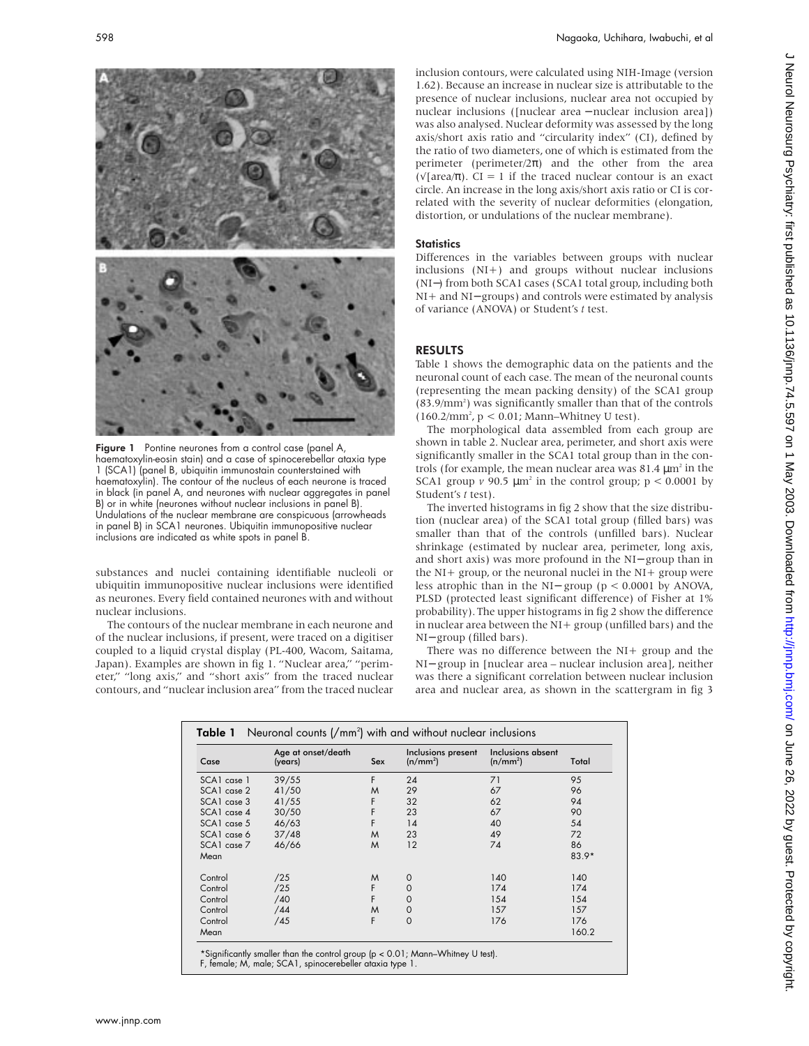

Figure 1 Pontine neurones from a control case (panel A, haematoxylin-eosin stain) and a case of spinocerebellar ataxia type 1 (SCA1) (panel B, ubiquitin immunostain counterstained with haematoxylin). The contour of the nucleus of each neurone is traced in black (in panel A, and neurones with nuclear aggregates in panel B) or in white (neurones without nuclear inclusions in panel B). Undulations of the nuclear membrane are conspicuous (arrowheads in panel B) in SCA1 neurones. Ubiquitin immunopositive nuclear inclusions are indicated as white spots in panel B.

substances and nuclei containing identifiable nucleoli or ubiquitin immunopositive nuclear inclusions were identified as neurones. Every field contained neurones with and without nuclear inclusions.

The contours of the nuclear membrane in each neurone and of the nuclear inclusions, if present, were traced on a digitiser coupled to a liquid crystal display (PL-400, Wacom, Saitama, Japan). Examples are shown in fig 1. "Nuclear area," "perimeter," "long axis," and "short axis" from the traced nuclear contours, and "nuclear inclusion area" from the traced nuclear J Neurol Neurosurg Psychiatry: first published as 10.11136/jnnp.74.5.597 on 1 May 2003. Downloaded from http://jnnp.bmj.com/ on June 26, 2022 by guest. Protected by copyright Den June 20, 2022 by guest. Protected by copyright. Du 2 on July 2022 September 1992 2003. Downloaded from Alminishing published as 10.1136/jnnp.http://jnnp.htm

inclusion contours, were calculated using NIH-Image (version 1.62). Because an increase in nuclear size is attributable to the presence of nuclear inclusions, nuclear area not occupied by nuclear inclusions ([nuclear area − nuclear inclusion area]) was also analysed. Nuclear deformity was assessed by the long axis/short axis ratio and "circularity index" (CI), defined by the ratio of two diameters, one of which is estimated from the perimeter (perimeter/ $2\pi$ ) and the other from the area ( $\sqrt{\arctan(\pi)}$ . CI = 1 if the traced nuclear contour is an exact circle. An increase in the long axis/short axis ratio or CI is correlated with the severity of nuclear deformities (elongation, distortion, or undulations of the nuclear membrane).

### **Statistics**

Differences in the variables between groups with nuclear inclusions (NI+) and groups without nuclear inclusions (NI−) from both SCA1 cases (SCA1 total group, including both NI+ and NI− groups) and controls were estimated by analysis of variance (ANOVA) or Student's *t* test.

## RESULTS

Table 1 shows the demographic data on the patients and the neuronal count of each case. The mean of the neuronal counts (representing the mean packing density) of the SCA1 group (83.9/mm<sup>2</sup>) was significantly smaller than that of the controls (160.2/mm2 , p < 0.01; Mann–Whitney U test).

The morphological data assembled from each group are shown in table 2. Nuclear area, perimeter, and short axis were significantly smaller in the SCA1 total group than in the controls (for example, the mean nuclear area was  $81.4 \,\mathrm{\upmu m^2}$  in the SCA1 group  $\nu$  90.5  $\mu$ m<sup>2</sup> in the control group;  $p < 0.0001$  by Student's *t* test).

The inverted histograms in fig 2 show that the size distribution (nuclear area) of the SCA1 total group (filled bars) was smaller than that of the controls (unfilled bars). Nuclear shrinkage (estimated by nuclear area, perimeter, long axis, and short axis) was more profound in the NI− group than in the NI+ group, or the neuronal nuclei in the NI+ group were less atrophic than in the NI− group (p < 0.0001 by ANOVA, PLSD (protected least significant difference) of Fisher at 1% probability). The upper histograms in fig 2 show the difference in nuclear area between the NI+ group (unfilled bars) and the NI− group (filled bars).

There was no difference between the NI+ group and the NI− group in [nuclear area – nuclear inclusion area], neither was there a significant correlation between nuclear inclusion area and nuclear area, as shown in the scattergram in fig 3

| Case            | Age at onset/death<br>(years) | Sex | Inclusions present<br>(n/mm <sup>2</sup> ) | Inclusions absent<br>(n/mm <sup>2</sup> ) | Total   |
|-----------------|-------------------------------|-----|--------------------------------------------|-------------------------------------------|---------|
| SCA1 case 1     | 39/55                         | F   | 24                                         | 71                                        | 95      |
| $SCAI$ case $2$ | 41/50                         | M   | 29                                         | 67                                        | 96      |
| SCA1 case 3     | 41/55                         | F   | 32                                         | 62                                        | 94      |
| SCA1 case 4     | 30/50                         | F   | 23                                         | 67                                        | 90      |
| SCA1 case 5     | 46/63                         | F   | 14                                         | 40                                        | 54      |
| SCA1 case 6     | 37/48                         | M   | 23                                         | 49                                        | 72      |
| SCA1 case 7     | 46/66                         | M   | 12                                         | 74                                        | 86      |
| Mean            |                               |     |                                            |                                           | $83.9*$ |
| Control         | /25                           | M   | 0                                          | 140                                       | 140     |
| Control         | /25                           | F   | $\mathbf 0$                                | 174                                       | 174     |
| Control         | /40                           | F   | $\mathbf 0$                                | 154                                       | 154     |
| Control         | /44                           | M   | 0                                          | 157                                       | 157     |
| Control         | /45                           | F   | $\mathbf 0$                                | 176                                       | 176     |
| Mean            |                               |     |                                            |                                           | 160.2   |

\*Significantly smaller than the control group (p < 0.01; Mann–Whitney U test). F, female; M, male; SCA1, spinocerebeller ataxia type 1.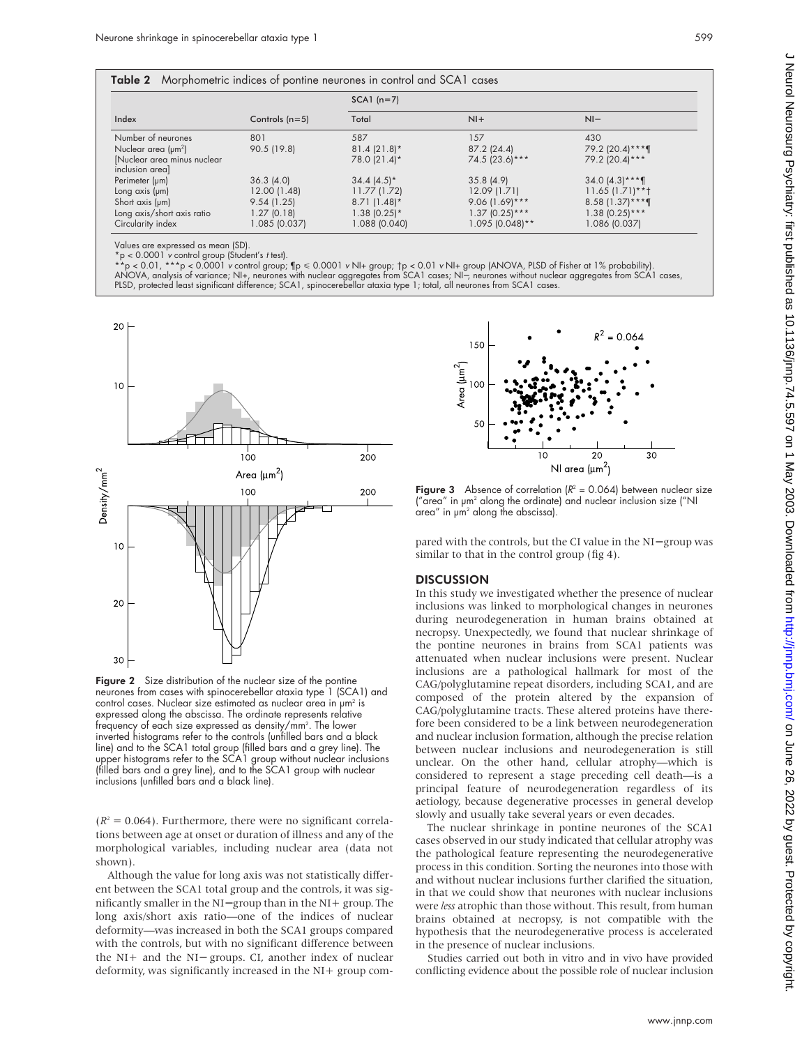| <b>Table 2</b> Morphometric indices of pontine neurones in control and SCA1 cases |                  |                |                   |                      |  |  |
|-----------------------------------------------------------------------------------|------------------|----------------|-------------------|----------------------|--|--|
|                                                                                   | Controls $(n=5)$ | $SCA1$ (n=7)   |                   |                      |  |  |
| Index                                                                             |                  | Total          | $Nl +$            | $NI-$                |  |  |
| Number of neurones                                                                | 801              | 587            | 157               | 430                  |  |  |
| Nuclear area $(\mu m^2)$                                                          | 90.5 (19.8)      | $81.4(21.8)$ * | $87.2$ (24.4)     | 79.2 (20.4)***¶      |  |  |
| [Nuclear area minus nuclear<br>inclusion area]                                    |                  | 78.0 (21.4)*   | 74.5 (23.6) ***   | 79.2 (20.4) ***      |  |  |
| Perimeter (pm)                                                                    | 36.3(4.0)        | $34.4(4.5)^*$  | 35.8(4.9)         | $34.0$ (4.3)***      |  |  |
| Long $axis$ ( $\mu$ m)                                                            | 12.00 (1.48)     | 11.77(1.72)    | 12.09 (1.71)      | $11.65$ $(1.71)$ **† |  |  |
| Short axis (um)                                                                   | 9.54(1.25)       | $8.71(1.48)$ * | $9.06(1.69)$ ***  | $8.58(1.37**$        |  |  |
| Long axis/short axis ratio                                                        | 1.27(0.18)       | $1.38(0.25)*$  | $1.37(0.25)***$   | $1.38$ (0.25)***     |  |  |
| Circularity index                                                                 | 1.085 (0.037)    | 1.088 (0.040)  | $1.095$ (0.048)** | 1.086 (0.037)        |  |  |

Values are expressed as mean (SD).

\*p < 0.0001 v control group (Student's t test).<br>\*\*p < 0.01, \*\*\*p < 0.0001 v control group; ¶p ≤ 0.0001 v NI+ group; †p < 0.01 v NI+ group (ANOVA, PLSD of Fisher at 1% probability).<br>ANOVA, analysis of variance; NI+, neuron



Fiaure 2 Size distribution of the nuclear size of the pontine neurones from cases with spinocerebellar ataxia type 1 (SCA1) and control cases. Nuclear size estimated as nuclear area in um<sup>2</sup> is expressed along the abscissa. The ordinate represents relative frequency of each size expressed as density/mm2 . The lower inverted histograms refer to the controls (unfilled bars and a black line) and to the SCA1 total group (filled bars and a grey line). The upper histograms refer to the SCA1 group without nuclear inclusions (filled bars and a grey line), and to the SCA1 group with nuclear inclusions (unfilled bars and a black line).

 $(R<sup>2</sup> = 0.064)$ . Furthermore, there were no significant correlations between age at onset or duration of illness and any of the morphological variables, including nuclear area (data not shown).

Although the value for long axis was not statistically different between the SCA1 total group and the controls, it was significantly smaller in the NI− group than in the NI+ group. The long axis/short axis ratio—one of the indices of nuclear deformity—was increased in both the SCA1 groups compared with the controls, but with no significant difference between the NI+ and the NI− groups. CI, another index of nuclear deformity, was significantly increased in the NI+ group com-



**Figure 3** Absence of correlation  $R^2 = 0.064$  between nuclear size ("area" in µm2 along the ordinate) and nuclear inclusion size ("NI area" in  $\mu$ m<sup>2</sup> along the abscissa).

pared with the controls, but the CI value in the NI− group was similar to that in the control group (fig 4).

#### **DISCUSSION**

In this study we investigated whether the presence of nuclear inclusions was linked to morphological changes in neurones during neurodegeneration in human brains obtained at necropsy. Unexpectedly, we found that nuclear shrinkage of the pontine neurones in brains from SCA1 patients was attenuated when nuclear inclusions were present. Nuclear inclusions are a pathological hallmark for most of the CAG/polyglutamine repeat disorders, including SCA1, and are composed of the protein altered by the expansion of CAG/polyglutamine tracts. These altered proteins have therefore been considered to be a link between neurodegeneration and nuclear inclusion formation, although the precise relation between nuclear inclusions and neurodegeneration is still unclear. On the other hand, cellular atrophy—which is considered to represent a stage preceding cell death—is a principal feature of neurodegeneration regardless of its aetiology, because degenerative processes in general develop slowly and usually take several years or even decades.

The nuclear shrinkage in pontine neurones of the SCA1 cases observed in our study indicated that cellular atrophy was the pathological feature representing the neurodegenerative process in this condition. Sorting the neurones into those with and without nuclear inclusions further clarified the situation, in that we could show that neurones with nuclear inclusions were *less* atrophic than those without. This result, from human brains obtained at necropsy, is not compatible with the hypothesis that the neurodegenerative process is accelerated in the presence of nuclear inclusions.

Studies carried out both in vitro and in vivo have provided conflicting evidence about the possible role of nuclear inclusion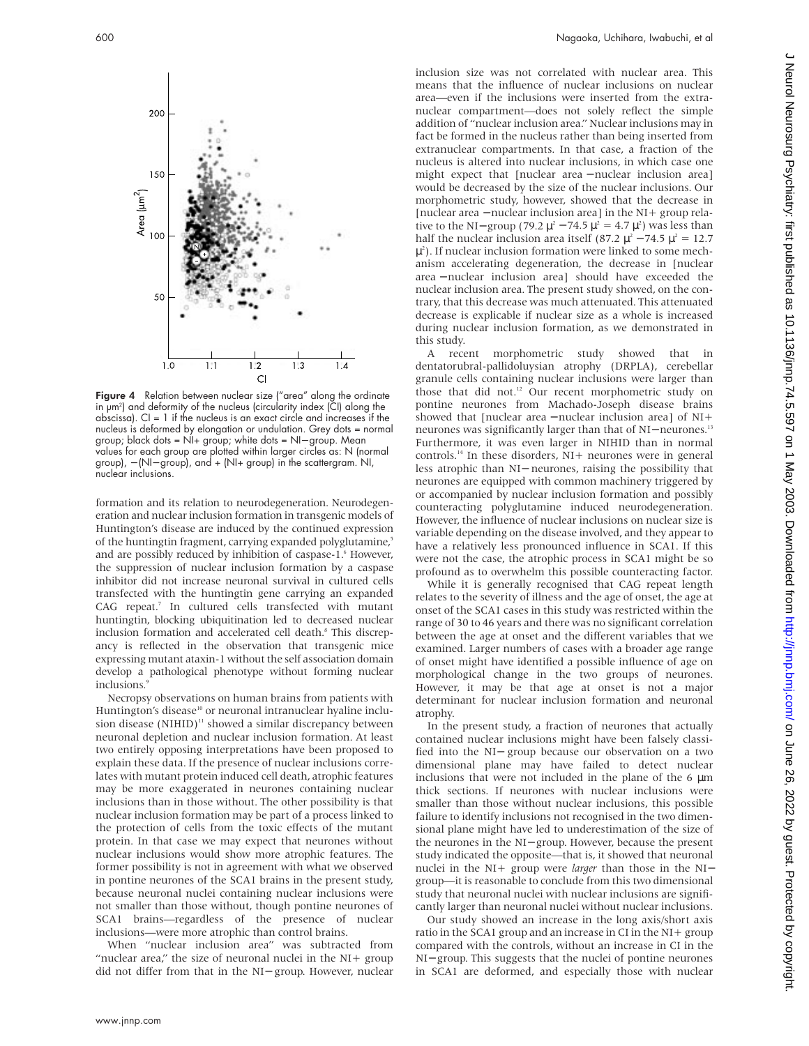

Figure 4 Relation between nuclear size ("area" along the ordinate in µm2 ) and deformity of the nucleus (circularity index (CI) along the abscissa).  $Cl = 1$  if the nucleus is an exact circle and increases if the nucleus is deformed by elongation or undulation. Grey dots = normal group; black dots = NI+ group; white dots = NI− group. Mean values for each group are plotted within larger circles as: N (normal group), - (NI- group), and + (NI+ group) in the scattergram. NI, nuclear inclusions.

formation and its relation to neurodegeneration. Neurodegeneration and nuclear inclusion formation in transgenic models of Huntington's disease are induced by the continued expression of the huntingtin fragment, carrying expanded polyglutamine,<sup>5</sup> and are possibly reduced by inhibition of caspase-1.<sup>6</sup> However, the suppression of nuclear inclusion formation by a caspase inhibitor did not increase neuronal survival in cultured cells transfected with the huntingtin gene carrying an expanded CAG repeat.<sup>7</sup> In cultured cells transfected with mutant huntingtin, blocking ubiquitination led to decreased nuclear inclusion formation and accelerated cell death.<sup>8</sup> This discrepancy is reflected in the observation that transgenic mice expressing mutant ataxin-1 without the self association domain develop a pathological phenotype without forming nuclear inclusions.

Necropsy observations on human brains from patients with Huntington's disease<sup>10</sup> or neuronal intranuclear hyaline inclusion disease (NIHID)<sup>11</sup> showed a similar discrepancy between neuronal depletion and nuclear inclusion formation. At least two entirely opposing interpretations have been proposed to explain these data. If the presence of nuclear inclusions correlates with mutant protein induced cell death, atrophic features may be more exaggerated in neurones containing nuclear inclusions than in those without. The other possibility is that nuclear inclusion formation may be part of a process linked to the protection of cells from the toxic effects of the mutant protein. In that case we may expect that neurones without nuclear inclusions would show more atrophic features. The former possibility is not in agreement with what we observed in pontine neurones of the SCA1 brains in the present study, because neuronal nuclei containing nuclear inclusions were not smaller than those without, though pontine neurones of SCA1 brains—regardless of the presence of nuclear inclusions—were more atrophic than control brains.

When "nuclear inclusion area" was subtracted from "nuclear area," the size of neuronal nuclei in the NI+ group did not differ from that in the NI− group. However, nuclear

inclusion size was not correlated with nuclear area. This means that the influence of nuclear inclusions on nuclear area—even if the inclusions were inserted from the extranuclear compartment—does not solely reflect the simple addition of "nuclear inclusion area." Nuclear inclusions may in fact be formed in the nucleus rather than being inserted from extranuclear compartments. In that case, a fraction of the nucleus is altered into nuclear inclusions, in which case one might expect that [nuclear area – nuclear inclusion area] would be decreased by the size of the nuclear inclusions. Our morphometric study, however, showed that the decrease in [nuclear area − nuclear inclusion area] in the NI+ group relative to the NI– group (79.2  $\mu^2$  – 74.5  $\mu^2$  = 4.7  $\mu^2$ ) was less than half the nuclear inclusion area itself (87.2  $\mu^2$  – 74.5  $\mu^2$  = 12.7  $\mu^2$ ). If nuclear inclusion formation were linked to some mechanism accelerating degeneration, the decrease in [nuclear area − nuclear inclusion area] should have exceeded the nuclear inclusion area. The present study showed, on the contrary, that this decrease was much attenuated. This attenuated decrease is explicable if nuclear size as a whole is increased during nuclear inclusion formation, as we demonstrated in this study.

A recent morphometric study showed that in dentatorubral-pallidoluysian atrophy (DRPLA), cerebellar granule cells containing nuclear inclusions were larger than those that did not.<sup>12</sup> Our recent morphometric study on pontine neurones from Machado-Joseph disease brains showed that [nuclear area − nuclear inclusion area] of NI+ neurones was significantly larger than that of NI− neurones.<sup>13</sup> Furthermore, it was even larger in NIHID than in normal controls.14 In these disorders, NI+ neurones were in general less atrophic than NI− neurones, raising the possibility that neurones are equipped with common machinery triggered by or accompanied by nuclear inclusion formation and possibly counteracting polyglutamine induced neurodegeneration. However, the influence of nuclear inclusions on nuclear size is variable depending on the disease involved, and they appear to have a relatively less pronounced influence in SCA1. If this were not the case, the atrophic process in SCA1 might be so profound as to overwhelm this possible counteracting factor.

While it is generally recognised that CAG repeat length relates to the severity of illness and the age of onset, the age at onset of the SCA1 cases in this study was restricted within the range of 30 to 46 years and there was no significant correlation between the age at onset and the different variables that we examined. Larger numbers of cases with a broader age range of onset might have identified a possible influence of age on morphological change in the two groups of neurones. However, it may be that age at onset is not a major determinant for nuclear inclusion formation and neuronal atrophy.

In the present study, a fraction of neurones that actually contained nuclear inclusions might have been falsely classified into the NI− group because our observation on a two dimensional plane may have failed to detect nuclear inclusions that were not included in the plane of the  $6 \mu m$ thick sections. If neurones with nuclear inclusions were smaller than those without nuclear inclusions, this possible failure to identify inclusions not recognised in the two dimensional plane might have led to underestimation of the size of the neurones in the NI− group. However, because the present study indicated the opposite—that is, it showed that neuronal nuclei in the NI+ group were *larger* than those in the NI<sup>−</sup> group—it is reasonable to conclude from this two dimensional study that neuronal nuclei with nuclear inclusions are significantly larger than neuronal nuclei without nuclear inclusions.

Our study showed an increase in the long axis/short axis ratio in the SCA1 group and an increase in CI in the NI+ group compared with the controls, without an increase in CI in the NI− group. This suggests that the nuclei of pontine neurones in SCA1 are deformed, and especially those with nuclear